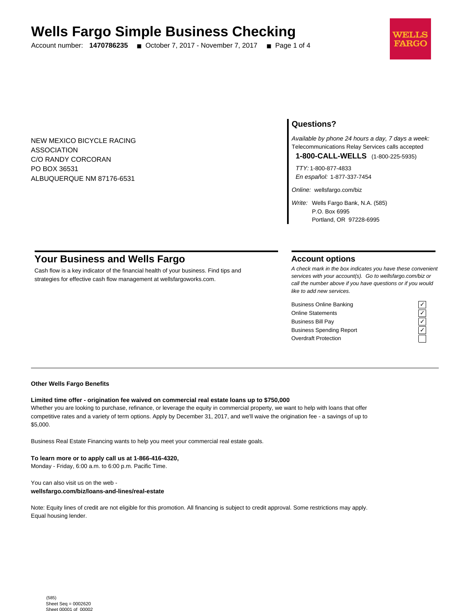# **Wells Fargo Simple Business Checking**

Account number: **1470786235** ■ October 7, 2017 - November 7, 2017 ■ Page 1 of 4



NEW MEXICO BICYCLE RACING ASSOCIATION C/O RANDY CORCORAN PO BOX 36531 ALBUQUERQUE NM 87176-6531

# **Questions?**

Available by phone 24 hours a day, 7 days a week: Telecommunications Relay Services calls accepted

**1-800-CALL-WELLS** (1-800-225-5935)

TTY: 1-800-877-4833 En español: 1-877-337-7454

Online: wellsfargo.com/biz

Write: Wells Fargo Bank, N.A. (585) P.O. Box 6995 Portland, OR 97228-6995

# **Your Business and Wells Fargo**

Cash flow is a key indicator of the financial health of your business. Find tips and strategies for effective cash flow management at wellsfargoworks.com.

### **Account options**

A check mark in the box indicates you have these convenient services with your account(s). Go to wellsfargo.com/biz or call the number above if you have questions or if you would like to add new services.

Business Online Banking Online Statements ✓ Business Bill Pay Business Spending Report Overdraft Protection

#### **Other Wells Fargo Benefits**

#### **Limited time offer - origination fee waived on commercial real estate loans up to \$750,000**

Whether you are looking to purchase, refinance, or leverage the equity in commercial property, we want to help with loans that offer competitive rates and a variety of term options. Apply by December 31, 2017, and we'll waive the origination fee - a savings of up to \$5,000.

Business Real Estate Financing wants to help you meet your commercial real estate goals.

**To learn more or to apply call us at 1-866-416-4320,** Monday - Friday, 6:00 a.m. to 6:00 p.m. Pacific Time.

You can also visit us on the web **wellsfargo.com/biz/loans-and-lines/real-estate**

Note: Equity lines of credit are not eligible for this promotion. All financing is subject to credit approval. Some restrictions may apply. Equal housing lender.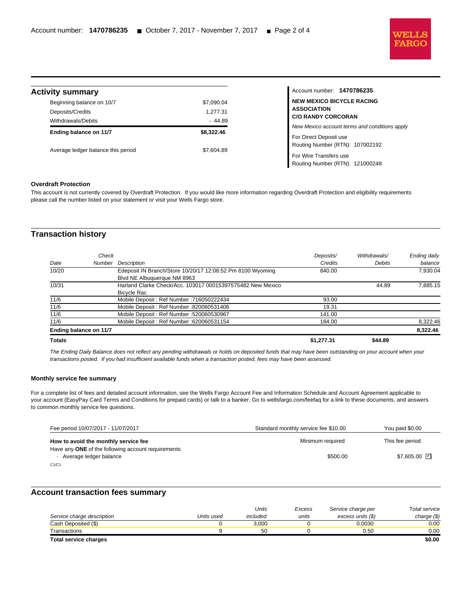

Routing Number (RTN): 121000248

| <b>Activity summary</b>                                             |                                    | Account number: 1470786235                                                          |
|---------------------------------------------------------------------|------------------------------------|-------------------------------------------------------------------------------------|
| Beginning balance on 10/7<br>Deposits/Credits<br>Withdrawals/Debits | \$7,090.04<br>1.277.31<br>$-44.89$ | <b>NEW MEXICO BICYCLE RACING</b><br><b>ASSOCIATION</b><br><b>C/O RANDY CORCORAN</b> |
| Ending balance on 11/7                                              | \$8,322.46                         | New Mexico account terms and conditions apply<br>For Direct Deposit use             |
| Average ledger balance this period                                  | \$7,604.89                         | Routing Number (RTN): 107002192<br>For Wire Transfers use                           |

#### **Overdraft Protection**

l

This account is not currently covered by Overdraft Protection. If you would like more information regarding Overdraft Protection and eligibility requirements please call the number listed on your statement or visit your Wells Fargo store.

# **Transaction history**

| 10/31<br>11/6          | Harland Clarke Check/Acc. 103017 00015397575482 New Mexico<br>Bicycle Rac<br>Mobile Deposit: Ref Number: 716050222434 | 93.00            | 44.89   | 7.885.15 |
|------------------------|-----------------------------------------------------------------------------------------------------------------------|------------------|---------|----------|
| 11/6                   | Mobile Deposit: Ref Number: 820060531406                                                                              | 19.31            |         |          |
| 11/6<br>11/6           | Mobile Deposit: Ref Number: 520060530967<br>Mobile Deposit: Ref Number: 620060531154                                  | 141.00<br>184.00 |         | 8,322.46 |
| Ending balance on 11/7 |                                                                                                                       |                  |         | 8,322.46 |
| <b>Totals</b>          |                                                                                                                       | \$1.277.31       | \$44.89 |          |

The Ending Daily Balance does not reflect any pending withdrawals or holds on deposited funds that may have been outstanding on your account when your transactions posted. If you had insufficient available funds when a transaction posted, fees may have been assessed.

#### **Monthly service fee summary**

For a complete list of fees and detailed account information, see the Wells Fargo Account Fee and Information Schedule and Account Agreement applicable to your account (EasyPay Card Terms and Conditions for prepaid cards) or talk to a banker. Go to wellsfargo.com/feefaq for a link to these documents, and answers to common monthly service fee questions.

| Fee period 10/07/2017 - 11/07/2017                                                  | Standard monthly service fee \$10.00 | You paid \$0.00 |
|-------------------------------------------------------------------------------------|--------------------------------------|-----------------|
| How to avoid the monthly service fee                                                | Minimum required                     | This fee period |
| Have any <b>ONE</b> of the following account requirements<br>Average ledger balance | \$500.00                             | \$7,605.00 ⊡    |
| C1/C1                                                                               |                                      |                 |

## **Account transaction fees summary**

|                              |            | Units    | Excess | Service charge per | Total service |
|------------------------------|------------|----------|--------|--------------------|---------------|
| Service charge description   | Units used | included | units  | excess units (\$)  | charge $(\$)$ |
| Cash Deposited (\$)          |            | 3.000    |        | 0.0030             | 0.00          |
| Transactions                 |            | 50       |        | 0.50               | 0.00          |
| <b>Total service charges</b> |            |          |        |                    | \$0.00        |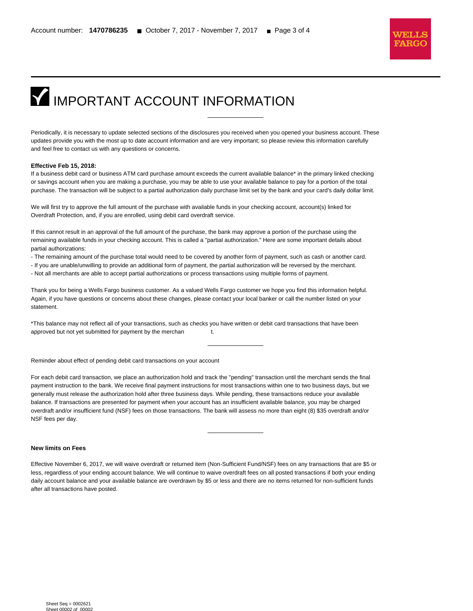

# **IMPORTANT ACCOUNT INFORMATION**

Periodically, it is necessary to update selected sections of the disclosures you received when you opened your business account. These updates provide you with the most up to date account information and are very important; so please review this information carefully and feel free to contact us with any questions or concerns.

#### **Effective Feb 15, 2018:**

l

If a business debit card or business ATM card purchase amount exceeds the current available balance\* in the primary linked checking or savings account when you are making a purchase, you may be able to use your available balance to pay for a portion of the total purchase. The transaction will be subject to a partial authorization daily purchase limit set by the bank and your card's daily dollar limit.

We will first try to approve the full amount of the purchase with available funds in your checking account, account(s) linked for Overdraft Protection, and, if you are enrolled, using debit card overdraft service.

If this cannot result in an approval of the full amount of the purchase, the bank may approve a portion of the purchase using the remaining available funds in your checking account. This is called a "partial authorization." Here are some important details about partial authorizations:

- The remaining amount of the purchase total would need to be covered by another form of payment, such as cash or another card.
- If you are unable/unwilling to provide an additional form of payment, the partial authorization will be reversed by the merchant.
- Not all merchants are able to accept partial authorizations or process transactions using multiple forms of payment.

Thank you for being a Wells Fargo business customer. As a valued Wells Fargo customer we hope you find this information helpful. Again, if you have questions or concerns about these changes, please contact your local banker or call the number listed on your statement.

\*This balance may not reflect all of your transactions, such as checks you have written or debit card transactions that have been approved but not yet submitted for payment by the merchan t.

Reminder about effect of pending debit card transactions on your account

For each debit card transaction, we place an authorization hold and track the "pending" transaction until the merchant sends the final payment instruction to the bank. We receive final payment instructions for most transactions within one to two business days, but we generally must release the authorization hold after three business days. While pending, these transactions reduce your available balance. If transactions are presented for payment when your account has an insufficient available balance, you may be charged overdraft and/or insufficient fund (NSF) fees on those transactions. The bank will assess no more than eight (8) \$35 overdraft and/or NSF fees per day.

#### **New limits on Fees**

Effective November 6, 2017, we will waive overdraft or returned item (Non-Sufficient Fund/NSF) fees on any transactions that are \$5 or less, regardless of your ending account balance. We will continue to waive overdraft fees on all posted transactions if both your ending daily account balance and your available balance are overdrawn by \$5 or less and there are no items returned for non-sufficient funds after all transactions have posted.